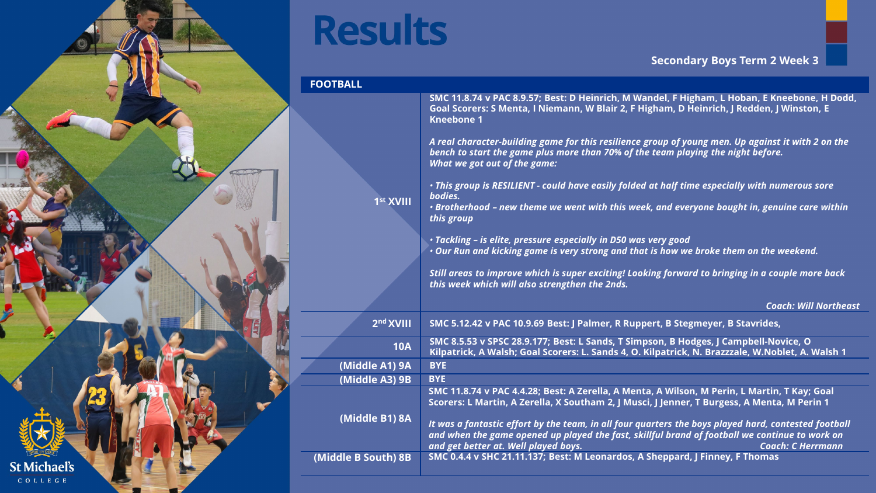

## **Results**

## **Secondary Boys Term 2 Week 3**

| <b>FOOTBALL</b>       |                                                                                                                                                                                                                                                                                                                                                                                                                                                                                                                                             |
|-----------------------|---------------------------------------------------------------------------------------------------------------------------------------------------------------------------------------------------------------------------------------------------------------------------------------------------------------------------------------------------------------------------------------------------------------------------------------------------------------------------------------------------------------------------------------------|
|                       | SMC 11.8.74 v PAC 8.9.57; Best: D Heinrich, M Wandel, F Higham, L Hoban, E Kneebone, H Dodd,<br>Goal Scorers: S Menta, I Niemann, W Blair 2, F Higham, D Heinrich, J Redden, J Winston, E<br><b>Kneebone 1</b><br>A real character-building game for this resilience group of young men. Up against it with 2 on the<br>bench to start the game plus more than 70% of the team playing the night before.<br>What we got out of the game:<br>• This group is RESILIENT - could have easily folded at half time especially with numerous sore |
| 1st XVIII             | bodies.<br>• Brotherhood - new theme we went with this week, and everyone bought in, genuine care within<br>this group                                                                                                                                                                                                                                                                                                                                                                                                                      |
|                       | · Tackling - is elite, pressure especially in D50 was very good<br>• Our Run and kicking game is very strong and that is how we broke them on the weekend.                                                                                                                                                                                                                                                                                                                                                                                  |
|                       | Still areas to improve which is super exciting! Looking forward to bringing in a couple more back<br>this week which will also strengthen the 2nds.                                                                                                                                                                                                                                                                                                                                                                                         |
|                       | <b>Coach: Will Northeast</b>                                                                                                                                                                                                                                                                                                                                                                                                                                                                                                                |
| 2 <sup>nd</sup> XVIII | SMC 5.12.42 v PAC 10.9.69 Best: J Palmer, R Ruppert, B Stegmeyer, B Stavrides,                                                                                                                                                                                                                                                                                                                                                                                                                                                              |
| <b>10A</b>            | SMC 8.5.53 v SPSC 28.9.177; Best: L Sands, T Simpson, B Hodges, J Campbell-Novice, O<br>Kilpatrick, A Walsh; Goal Scorers: L. Sands 4, O. Kilpatrick, N. Brazzzale, W.Noblet, A. Walsh 1                                                                                                                                                                                                                                                                                                                                                    |
| (Middle A1) 9A        | <b>BYE</b>                                                                                                                                                                                                                                                                                                                                                                                                                                                                                                                                  |
| (Middle A3) 9B        | <b>BYE</b>                                                                                                                                                                                                                                                                                                                                                                                                                                                                                                                                  |
| (Middle B1) 8A        | SMC 11.8.74 v PAC 4.4.28; Best: A Zerella, A Menta, A Wilson, M Perin, L Martin, T Kay; Goal<br>Scorers: L Martin, A Zerella, X Southam 2, J Musci, J Jenner, T Burgess, A Menta, M Perin 1<br>It was a fantastic effort by the team, in all four quarters the boys played hard, contested football<br>and when the game opened up played the fast, skillful brand of football we continue to work on                                                                                                                                       |
| (Middle B South) 8B   | and get better at. Well played boys.<br><b>Coach: C Herrmann</b><br>SMC 0.4.4 v SHC 21.11.137; Best: M Leonardos, A Sheppard, J Finney, F Thomas                                                                                                                                                                                                                                                                                                                                                                                            |